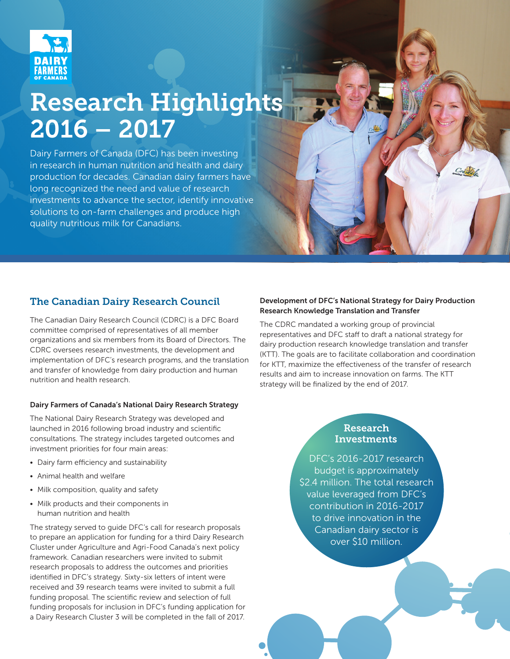

# Research Highlights 2016 – 2017

Dairy Farmers of Canada (DFC) has been investing in research in human nutrition and health and dairy production for decades. Canadian dairy farmers have long recognized the need and value of research investments to advance the sector, identify innovative solutions to on-farm challenges and produce high quality nutritious milk for Canadians.

# The Canadian Dairy Research Council

The Canadian Dairy Research Council (CDRC) is a DFC Board committee comprised of representatives of all member organizations and six members from its Board of Directors. The CDRC oversees research investments, the development and implementation of DFC's research programs, and the translation and transfer of knowledge from dairy production and human nutrition and health research.

#### Dairy Farmers of Canada's National Dairy Research Strategy

The National Dairy Research Strategy was developed and launched in 2016 following broad industry and scientific consultations. The strategy includes targeted outcomes and investment priorities for four main areas:

- Dairy farm efficiency and sustainability
- Animal health and welfare
- Milk composition, quality and safety
- Milk products and their components in human nutrition and health

The strategy served to guide DFC's call for research proposals to prepare an application for funding for a third Dairy Research Cluster under Agriculture and Agri-Food Canada's next policy framework. Canadian researchers were invited to submit research proposals to address the outcomes and priorities identified in DFC's strategy. Sixty-six letters of intent were received and 39 research teams were invited to submit a full funding proposal. The scientific review and selection of full funding proposals for inclusion in DFC's funding application for a Dairy Research Cluster 3 will be completed in the fall of 2017.

#### Development of DFC's National Strategy for Dairy Production Research Knowledge Translation and Transfer

The CDRC mandated a working group of provincial representatives and DFC staff to draft a national strategy for dairy production research knowledge translation and transfer (KTT). The goals are to facilitate collaboration and coordination for KTT, maximize the effectiveness of the transfer of research results and aim to increase innovation on farms. The KTT strategy will be finalized by the end of 2017.

## Research Investments

DFC's 2016-2017 research budget is approximately \$2.4 million. The total research value leveraged from DFC's contribution in 2016-2017 to drive innovation in the Canadian dairy sector is over \$10 million.